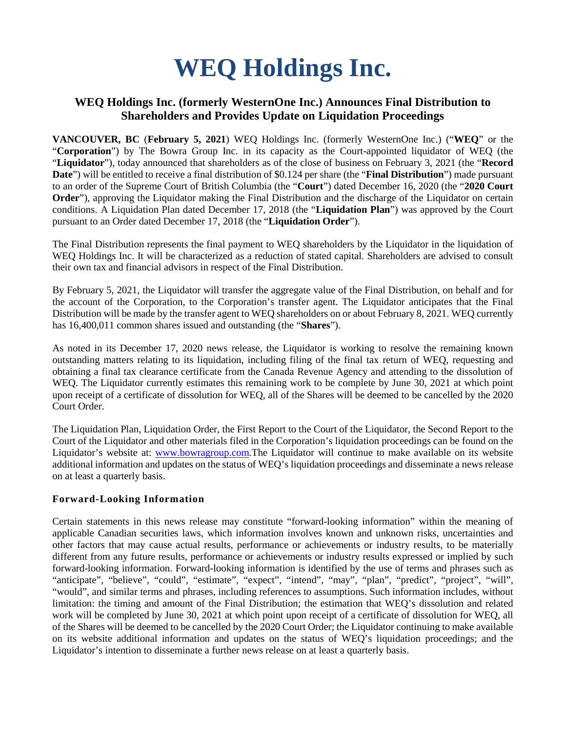# **WEQ Holdings Inc.**

## **WEQ Holdings Inc. (formerly WesternOne Inc.) Announces Final Distribution to Shareholders and Provides Update on Liquidation Proceedings**

**VANCOUVER, BC** (**February 5, 2021**) WEQ Holdings Inc. (formerly WesternOne Inc.) ("**WEQ**" or the "**Corporation**") by The Bowra Group Inc. in its capacity as the Court-appointed liquidator of WEQ (the "**Liquidator**"), today announced that shareholders as of the close of business on February 3, 2021 (the "**Record Date**") will be entitled to receive a final distribution of \$0.124 per share (the "**Final Distribution**") made pursuant to an order of the Supreme Court of British Columbia (the "**Court**") dated December 16, 2020 (the "**2020 Court Order**"), approving the Liquidator making the Final Distribution and the discharge of the Liquidator on certain conditions. A Liquidation Plan dated December 17, 2018 (the "**Liquidation Plan**") was approved by the Court pursuant to an Order dated December 17, 2018 (the "**Liquidation Order**").

The Final Distribution represents the final payment to WEQ shareholders by the Liquidator in the liquidation of WEQ Holdings Inc. It will be characterized as a reduction of stated capital. Shareholders are advised to consult their own tax and financial advisors in respect of the Final Distribution.

By February 5, 2021, the Liquidator will transfer the aggregate value of the Final Distribution, on behalf and for the account of the Corporation, to the Corporation's transfer agent. The Liquidator anticipates that the Final Distribution will be made by the transfer agent to WEQ shareholders on or about February 8, 2021. WEQ currently has 16,400,011 common shares issued and outstanding (the "**Shares**").

As noted in its December 17, 2020 news release, the Liquidator is working to resolve the remaining known outstanding matters relating to its liquidation, including filing of the final tax return of WEQ, requesting and obtaining a final tax clearance certificate from the Canada Revenue Agency and attending to the dissolution of WEQ. The Liquidator currently estimates this remaining work to be complete by June 30, 2021 at which point upon receipt of a certificate of dissolution for WEQ, all of the Shares will be deemed to be cancelled by the 2020 Court Order.

The Liquidation Plan, Liquidation Order, the First Report to the Court of the Liquidator, the Second Report to the Court of the Liquidator and other materials filed in the Corporation's liquidation proceedings can be found on the Liquidator's website at: [www.bowragroup.com.](http://www.bowragroup.com/)The Liquidator will continue to make available on its website additional information and updates on the status of WEQ's liquidation proceedings and disseminate a news release on at least a quarterly basis.

### **Forward-Looking Information**

Certain statements in this news release may constitute "forward-looking information" within the meaning of applicable Canadian securities laws, which information involves known and unknown risks, uncertainties and other factors that may cause actual results, performance or achievements or industry results, to be materially different from any future results, performance or achievements or industry results expressed or implied by such forward-looking information. Forward-looking information is identified by the use of terms and phrases such as "anticipate", "believe", "could", "estimate", "expect", "intend", "may", "plan", "predict", "project", "will", "would", and similar terms and phrases, including references to assumptions. Such information includes, without limitation: the timing and amount of the Final Distribution; the estimation that WEQ's dissolution and related work will be completed by June 30, 2021 at which point upon receipt of a certificate of dissolution for WEQ, all of the Shares will be deemed to be cancelled by the 2020 Court Order; the Liquidator continuing to make available on its website additional information and updates on the status of WEQ's liquidation proceedings; and the Liquidator's intention to disseminate a further news release on at least a quarterly basis.